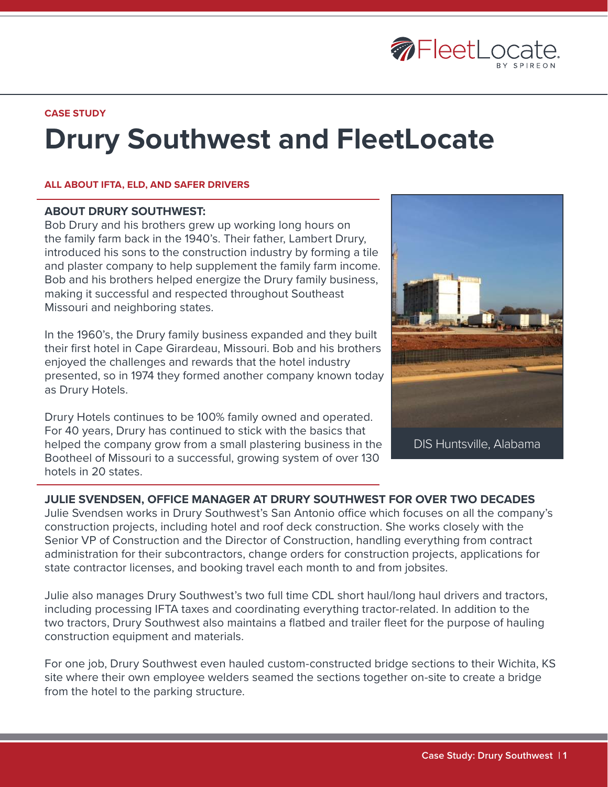

**CASE STUDY**

# **Drury Southwest and FleetLocate**

#### **ALL ABOUT IFTA, ELD, AND SAFER DRIVERS**

#### **ABOUT DRURY SOUTHWEST:**

Bob Drury and his brothers grew up working long hours on the family farm back in the 1940's. Their father, Lambert Drury, introduced his sons to the construction industry by forming a tile and plaster company to help supplement the family farm income. Bob and his brothers helped energize the Drury family business, making it successful and respected throughout Southeast Missouri and neighboring states.

In the 1960's, the Drury family business expanded and they built their first hotel in Cape Girardeau, Missouri. Bob and his brothers enjoyed the challenges and rewards that the hotel industry presented, so in 1974 they formed another company known today as Drury Hotels.

Drury Hotels continues to be 100% family owned and operated. For 40 years, Drury has continued to stick with the basics that helped the company grow from a small plastering business in the Bootheel of Missouri to a successful, growing system of over 130 hotels in 20 states.



DIS Huntsville, Alabama

## **JULIE SVENDSEN, OFFICE MANAGER AT DRURY SOUTHWEST FOR OVER TWO DECADES**

Julie Svendsen works in Drury Southwest's San Antonio office which focuses on all the company's construction projects, including hotel and roof deck construction. She works closely with the Senior VP of Construction and the Director of Construction, handling everything from contract administration for their subcontractors, change orders for construction projects, applications for state contractor licenses, and booking travel each month to and from jobsites.

Julie also manages Drury Southwest's two full time CDL short haul/long haul drivers and tractors, including processing IFTA taxes and coordinating everything tractor-related. In addition to the two tractors, Drury Southwest also maintains a flatbed and trailer fleet for the purpose of hauling construction equipment and materials.

For one job, Drury Southwest even hauled custom-constructed bridge sections to their Wichita, KS site where their own employee welders seamed the sections together on-site to create a bridge from the hotel to the parking structure.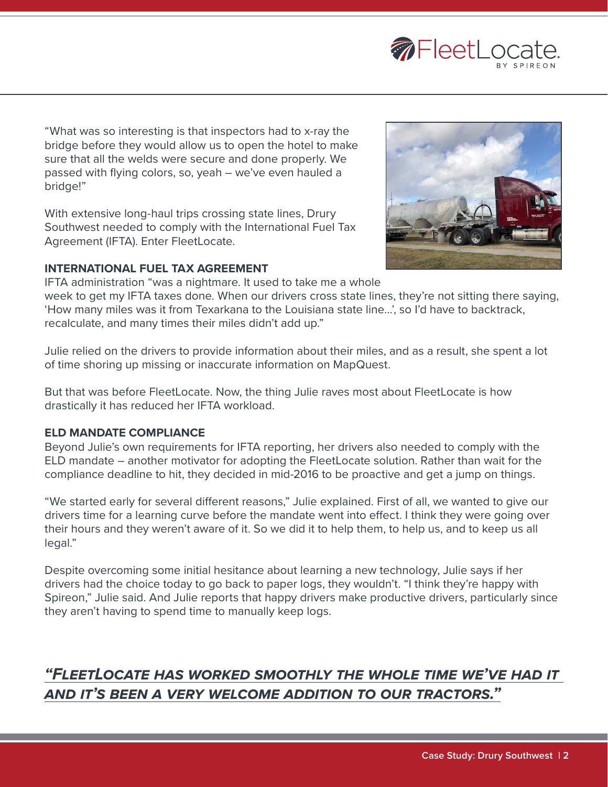

"What was so interesting is that inspectors had to x-ray the bridge before they would allow us to open the hotel to make sure that all the welds were secure and done properly. We passed with flying colors, so, yeah – we've even hauled a bridge!"

With extensive long-haul trips crossing state lines, Drury Southwest needed to comply with the International Fuel Tax Agreement (IFTA). Enter FleetLocate.

#### **INTERNATIONAL FUEL TAX AGREEMENT**



IFTA administration "was a nightmare. It used to take me a whole week to get my IFTA taxes done. When our drivers cross state lines, they're not sitting there saying, 'How many miles was it from Texarkana to the Louisiana state line…', so I'd have to backtrack,

recalculate, and many times their miles didn't add up."

Julie relied on the drivers to provide information about their miles, and as a result, she spent a lot of time shoring up missing or inaccurate information on MapQuest.

But that was before FleetLocate. Now, the thing Julie raves most about FleetLocate is how drastically it has reduced her IFTA workload.

## **ELD MANDATE COMPLIANCE**

Beyond Julie's own requirements for IFTA reporting, her drivers also needed to comply with the ELD mandate – another motivator for adopting the FleetLocate solution. Rather than wait for the compliance deadline to hit, they decided in mid-2016 to be proactive and get a jump on things.

"We started early for several different reasons," Julie explained. First of all, we wanted to give our drivers time for a learning curve before the mandate went into effect. I think they were going over their hours and they weren't aware of it. So we did it to help them, to help us, and to keep us all legal."

Despite overcoming some initial hesitance about learning a new technology, Julie says if her drivers had the choice today to go back to paper logs, they wouldn't. "I think they're happy with Spireon," Julie said. And Julie reports that happy drivers make productive drivers, particularly since they aren't having to spend time to manually keep logs.

# *"FleetLocate has worked smoothly the whole time we've had it and it's been a very welcome addition to our tractors."*